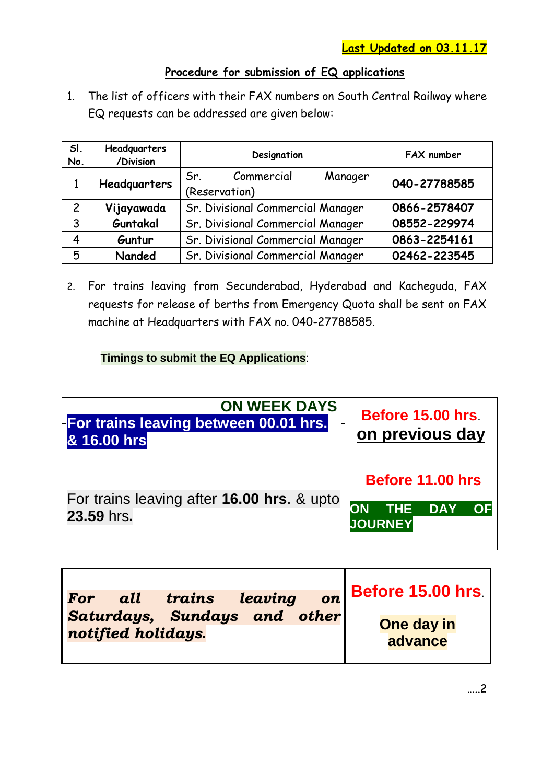## **Procedure for submission of EQ applications**

1. The list of officers with their FAX numbers on South Central Railway where EQ requests can be addressed are given below:

| SI.<br>No.     | Headquarters<br>/Division | Designation                                   | FAX number   |
|----------------|---------------------------|-----------------------------------------------|--------------|
|                | Headquarters              | Commercial<br>Manager<br>Sr.<br>(Reservation) | 040-27788585 |
| $\overline{c}$ | Vijayawada                | Sr. Divisional Commercial Manager             | 0866-2578407 |
| 3              | Guntakal                  | Sr. Divisional Commercial Manager             | 08552-229974 |
| 4              | Guntur                    | Sr. Divisional Commercial Manager             | 0863-2254161 |
| 5              | Nanded                    | Sr. Divisional Commercial Manager             | 02462-223545 |

2. For trains leaving from Secunderabad, Hyderabad and Kacheguda, FAX requests for release of berths from Emergency Quota shall be sent on FAX machine at Headquarters with FAX no. 040-27788585.

## **Timings to submit the EQ Applications**:

| <b>ON WEEK DAYS</b><br>For trains leaving between 00.01 hrs.<br>& 16.00 hrs | Before 15.00 hrs<br>on previous day                                                                                                                |
|-----------------------------------------------------------------------------|----------------------------------------------------------------------------------------------------------------------------------------------------|
| For trains leaving after 16.00 hrs. & upto<br>23.59 hrs.                    | Before 11.00 hrs<br>$\overline{\phantom{a}}$ THE $\overline{\phantom{a}}$ DAY $\overline{\phantom{a}}$<br><b>OF</b><br><b>ON</b><br><b>JOURNEY</b> |

| all<br>For                   | trains leaving |  | <b>on</b> Before 15.00 hrs. |
|------------------------------|----------------|--|-----------------------------|
| Saturdays, Sundays and other |                |  |                             |
| notified holidays.           |                |  | One day in<br>advance       |
|                              |                |  |                             |